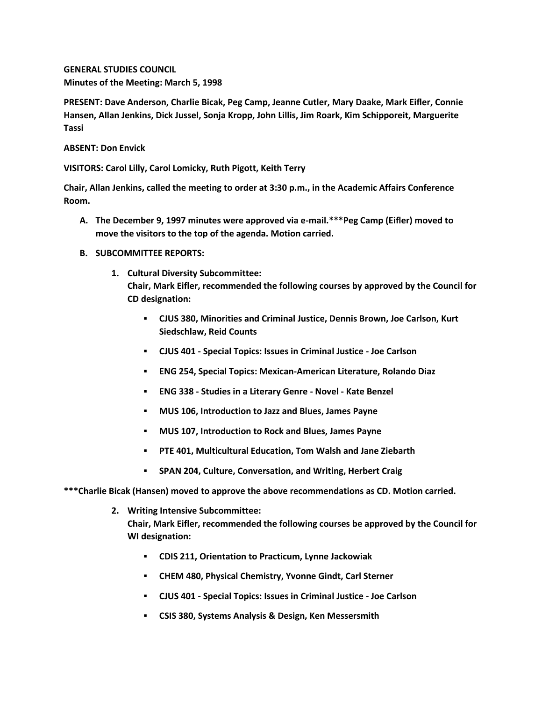**GENERAL STUDIES COUNCIL Minutes of the Meeting: March 5, 1998**

**PRESENT: Dave Anderson, Charlie Bicak, Peg Camp, Jeanne Cutler, Mary Daake, Mark Eifler, Connie Hansen, Allan Jenkins, Dick Jussel, Sonja Kropp, John Lillis, Jim Roark, Kim Schipporeit, Marguerite Tassi**

**ABSENT: Don Envick**

**VISITORS: Carol Lilly, Carol Lomicky, Ruth Pigott, Keith Terry**

**Chair, Allan Jenkins, called the meeting to order at 3:30 p.m., in the Academic Affairs Conference Room.**

- **A. The December 9, 1997 minutes were approved via e-mail.\*\*\*Peg Camp (Eifler) moved to move the visitors to the top of the agenda. Motion carried.**
- **B. SUBCOMMITTEE REPORTS:**
	- **1. Cultural Diversity Subcommittee: Chair, Mark Eifler, recommended the following courses by approved by the Council for CD designation:** 
		- **CJUS 380, Minorities and Criminal Justice, Dennis Brown, Joe Carlson, Kurt Siedschlaw, Reid Counts**
		- **CJUS 401 - Special Topics: Issues in Criminal Justice - Joe Carlson**
		- **ENG 254, Special Topics: Mexican-American Literature, Rolando Diaz**
		- **ENG 338 - Studies in a Literary Genre - Novel - Kate Benzel**
		- **MUS 106, Introduction to Jazz and Blues, James Payne**
		- **MUS 107, Introduction to Rock and Blues, James Payne**
		- **PTE 401, Multicultural Education, Tom Walsh and Jane Ziebarth**
		- **SPAN 204, Culture, Conversation, and Writing, Herbert Craig**

**\*\*\*Charlie Bicak (Hansen) moved to approve the above recommendations as CD. Motion carried.**

**2. Writing Intensive Subcommittee:**

**Chair, Mark Eifler, recommended the following courses be approved by the Council for WI designation:** 

- **CDIS 211, Orientation to Practicum, Lynne Jackowiak**
- **CHEM 480, Physical Chemistry, Yvonne Gindt, Carl Sterner**
- **CJUS 401 - Special Topics: Issues in Criminal Justice - Joe Carlson**
- **CSIS 380, Systems Analysis & Design, Ken Messersmith**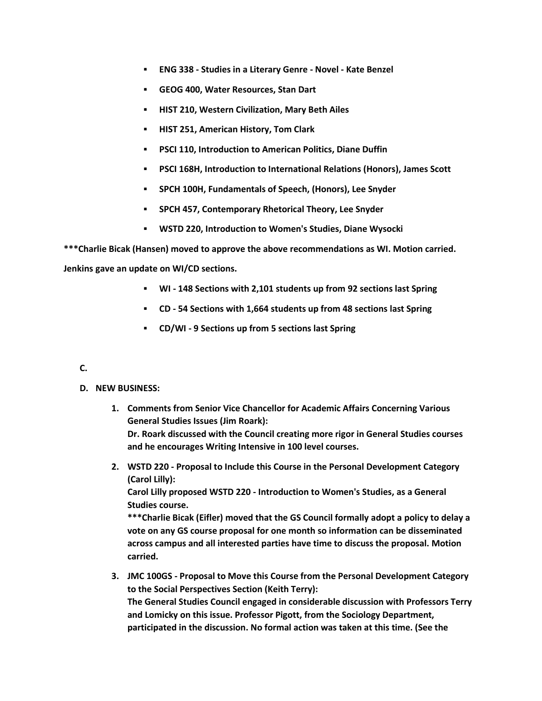- **ENG 338 - Studies in a Literary Genre - Novel - Kate Benzel**
- **GEOG 400, Water Resources, Stan Dart**
- **HIST 210, Western Civilization, Mary Beth Ailes**
- **HIST 251, American History, Tom Clark**
- **PSCI 110, Introduction to American Politics, Diane Duffin**
- **PSCI 168H, Introduction to International Relations (Honors), James Scott**
- **SPCH 100H, Fundamentals of Speech, (Honors), Lee Snyder**
- **SPCH 457, Contemporary Rhetorical Theory, Lee Snyder**
- **WSTD 220, Introduction to Women's Studies, Diane Wysocki**

**\*\*\*Charlie Bicak (Hansen) moved to approve the above recommendations as WI. Motion carried.** 

**Jenkins gave an update on WI/CD sections.**

- **WI - 148 Sections with 2,101 students up from 92 sections last Spring**
- **CD - 54 Sections with 1,664 students up from 48 sections last Spring**
- **CD/WI - 9 Sections up from 5 sections last Spring**

## **C.**

- **D. NEW BUSINESS:**
	- **1. Comments from Senior Vice Chancellor for Academic Affairs Concerning Various General Studies Issues (Jim Roark): Dr. Roark discussed with the Council creating more rigor in General Studies courses and he encourages Writing Intensive in 100 level courses.**
	- **2. WSTD 220 - Proposal to Include this Course in the Personal Development Category (Carol Lilly):**

**Carol Lilly proposed WSTD 220 - Introduction to Women's Studies, as a General Studies course.**

**\*\*\*Charlie Bicak (Eifler) moved that the GS Council formally adopt a policy to delay a vote on any GS course proposal for one month so information can be disseminated across campus and all interested parties have time to discuss the proposal. Motion carried.**

**3. JMC 100GS - Proposal to Move this Course from the Personal Development Category to the Social Perspectives Section (Keith Terry): The General Studies Council engaged in considerable discussion with Professors Terry and Lomicky on this issue. Professor Pigott, from the Sociology Department, participated in the discussion. No formal action was taken at this time. (See the**